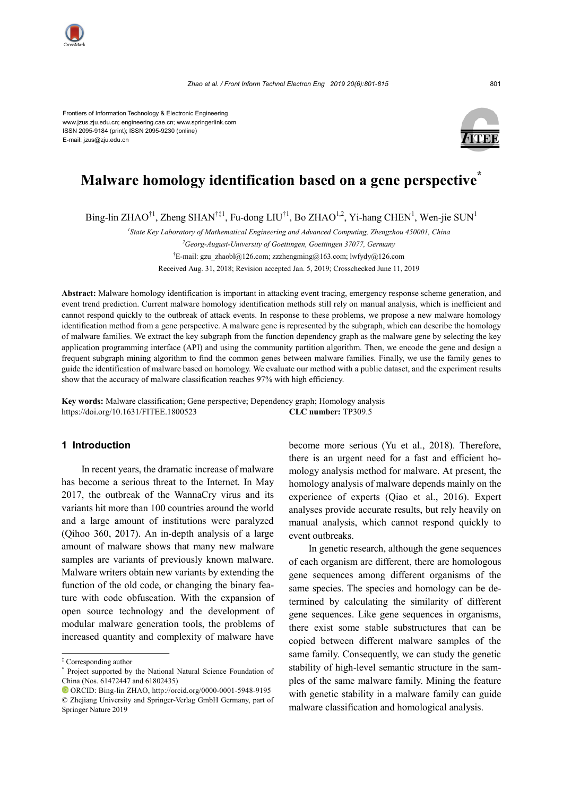

E-mail: jzus@zju.edu.cn

Frontiers of Information Technology & Electronic Engineering www.jzus.zju.edu.cn; engineering.cae.cn; www.springerlink.com ISSN 2095-9184 (print); ISSN 2095-9230 (online)



# **Malware homology identification based on a gene perspective\***

Bing-lin ZHAO<sup>†1</sup>, Zheng SHAN<sup>†‡1</sup>, Fu-dong LIU<sup>†1</sup>, Bo ZHAO<sup>1,2</sup>, Yi-hang CHEN<sup>1</sup>, Wen-jie SUN<sup>1</sup>

*1 State Key Laboratory of Mathematical Engineering and Advanced Computing, Zhengzhou 450001, China*

*2 Georg-August-University of Goettingen, Goettingen 37077, Germany*

† E-mail: gzu\_zhaobl@126.com; zzzhengming@163.com; lwfydy@126.com

Received Aug. 31, 2018; Revision accepted Jan. 5, 2019; Crosschecked June 11, 2019

**Abstract:** Malware homology identification is important in attacking event tracing, emergency response scheme generation, and event trend prediction. Current malware homology identification methods still rely on manual analysis, which is inefficient and cannot respond quickly to the outbreak of attack events. In response to these problems, we propose a new malware homology identification method from a gene perspective. A malware gene is represented by the subgraph, which can describe the homology of malware families. We extract the key subgraph from the function dependency graph as the malware gene by selecting the key application programming interface (API) and using the community partition algorithm. Then, we encode the gene and design a frequent subgraph mining algorithm to find the common genes between malware families. Finally, we use the family genes to guide the identification of malware based on homology. We evaluate our method with a public dataset, and the experiment results show that the accuracy of malware classification reaches 97% with high efficiency.

**Key words:** Malware classification; Gene perspective; Dependency graph; Homology analysis https://doi.org/10.1631/FITEE.1800523 **CLC number:** TP309.5

## **1 Introduction**

In recent years, the dramatic increase of malware has become a serious threat to the Internet. In May 2017, the outbreak of the WannaCry virus and its variants hit more than 100 countries around the world and a large amount of institutions were paralyzed (Qihoo 360, 2017). An in-depth analysis of a large amount of malware shows that many new malware samples are variants of previously known malware. Malware writers obtain new variants by extending the function of the old code, or changing the binary feature with code obfuscation. With the expansion of open source technology and the development of modular malware generation tools, the problems of increased quantity and complexity of malware have become more serious (Yu et al., 2018). Therefore, there is an urgent need for a fast and efficient homology analysis method for malware. At present, the homology analysis of malware depends mainly on the experience of experts (Qiao et al., 2016). Expert analyses provide accurate results, but rely heavily on manual analysis, which cannot respond quickly to event outbreaks.

In genetic research, although the gene sequences of each organism are different, there are homologous gene sequences among different organisms of the same species. The species and homology can be determined by calculating the similarity of different gene sequences. Like gene sequences in organisms, there exist some stable substructures that can be copied between different malware samples of the same family. Consequently, we can study the genetic stability of high-level semantic structure in the samples of the same malware family. Mining the feature with genetic stability in a malware family can guide malware classification and homological analysis.

<sup>‡</sup> Corresponding author

Project supported by the National Natural Science Foundation of China (Nos. 61472447 and 61802435)

ORCID: Bing-lin ZHAO[, http://orcid.org/0](http://orcid.org/0000-0002-6574-1542)000-0001-5948-9195 © Zhejiang University and Springer-Verlag GmbH Germany, part of Springer Nature 2019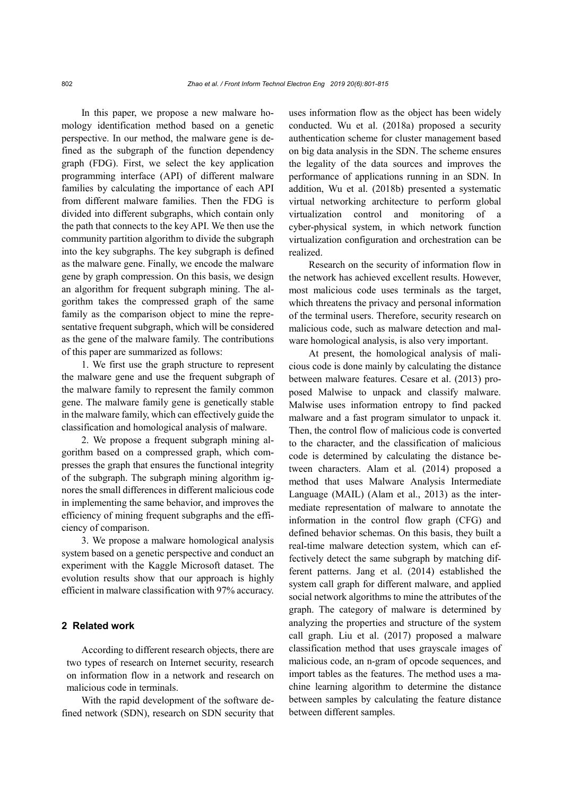In this paper, we propose a new malware homology identification method based on a genetic perspective. In our method, the malware gene is defined as the subgraph of the function dependency graph (FDG). First, we select the key application programming interface (API) of different malware families by calculating the importance of each API from different malware families. Then the FDG is divided into different subgraphs, which contain only the path that connects to the key API. We then use the community partition algorithm to divide the subgraph into the key subgraphs. The key subgraph is defined as the malware gene. Finally, we encode the malware gene by graph compression. On this basis, we design an algorithm for frequent subgraph mining. The algorithm takes the compressed graph of the same family as the comparison object to mine the representative frequent subgraph, which will be considered as the gene of the malware family. The contributions of this paper are summarized as follows:

1. We first use the graph structure to represent the malware gene and use the frequent subgraph of the malware family to represent the family common gene. The malware family gene is genetically stable in the malware family, which can effectively guide the classification and homological analysis of malware.

2. We propose a frequent subgraph mining algorithm based on a compressed graph, which compresses the graph that ensures the functional integrity of the subgraph. The subgraph mining algorithm ignores the small differences in different malicious code in implementing the same behavior, and improves the efficiency of mining frequent subgraphs and the efficiency of comparison.

3. We propose a malware homological analysis system based on a genetic perspective and conduct an experiment with the Kaggle Microsoft dataset. The evolution results show that our approach is highly efficient in malware classification with 97% accuracy.

## **2 Related work**

According to different research objects, there are two types of research on Internet security, research on information flow in a network and research on malicious code in terminals.

With the rapid development of the software defined network (SDN), research on SDN security that uses information flow as the object has been widely conducted. Wu et al. (2018a) proposed a security authentication scheme for cluster management based on big data analysis in the SDN. The scheme ensures the legality of the data sources and improves the performance of applications running in an SDN. In addition, Wu et al. (2018b) presented a systematic virtual networking architecture to perform global virtualization control and monitoring of a cyber-physical system, in which network function virtualization configuration and orchestration can be realized.

Research on the security of information flow in the network has achieved excellent results. However, most malicious code uses terminals as the target, which threatens the privacy and personal information of the terminal users. Therefore, security research on malicious code, such as malware detection and malware homological analysis, is also very important.

At present, the homological analysis of malicious code is done mainly by calculating the distance between malware features. Cesare et al. (2013) proposed Malwise to unpack and classify malware. Malwise uses information entropy to find packed malware and a fast program simulator to unpack it. Then, the control flow of malicious code is converted to the character, and the classification of malicious code is determined by calculating the distance between characters. Alam et al*.* (2014) proposed a method that uses Malware Analysis Intermediate Language (MAIL) (Alam et al., 2013) as the intermediate representation of malware to annotate the information in the control flow graph (CFG) and defined behavior schemas. On this basis, they built a real-time malware detection system, which can effectively detect the same subgraph by matching different patterns. Jang et al. (2014) established the system call graph for different malware, and applied social network algorithms to mine the attributes of the graph. The category of malware is determined by analyzing the properties and structure of the system call graph. Liu et al. (2017) proposed a malware classification method that uses grayscale images of malicious code, an n-gram of opcode sequences, and import tables as the features. The method uses a machine learning algorithm to determine the distance between samples by calculating the feature distance between different samples.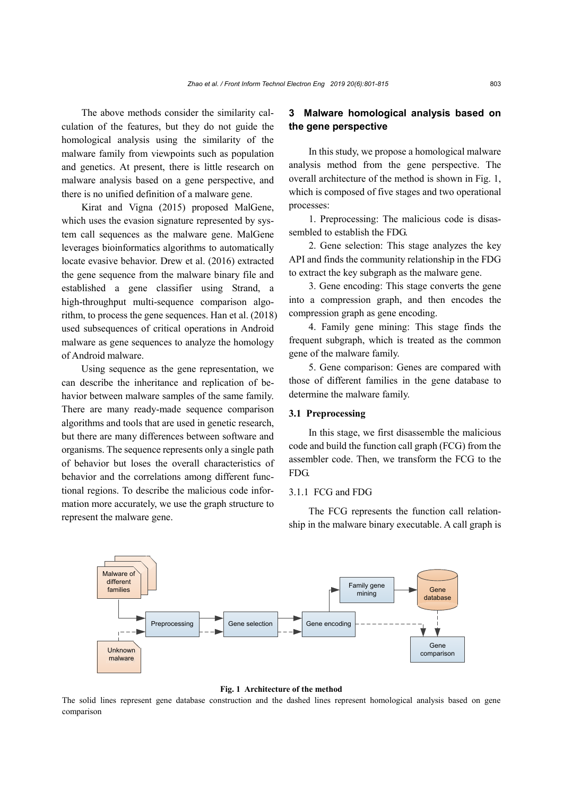The above methods consider the similarity calculation of the features, but they do not guide the homological analysis using the similarity of the malware family from viewpoints such as population and genetics. At present, there is little research on malware analysis based on a gene perspective, and there is no unified definition of a malware gene.

Kirat and Vigna (2015) proposed MalGene, which uses the evasion signature represented by system call sequences as the malware gene. MalGene leverages bioinformatics algorithms to automatically locate evasive behavior. Drew et al. (2016) extracted the gene sequence from the malware binary file and established a gene classifier using Strand, a high-throughput multi-sequence comparison algorithm, to process the gene sequences. Han et al. (2018) used subsequences of critical operations in Android malware as gene sequences to analyze the homology of Android malware.

Using sequence as the gene representation, we can describe the inheritance and replication of behavior between malware samples of the same family. There are many ready-made sequence comparison algorithms and tools that are used in genetic research, but there are many differences between software and organisms. The sequence represents only a single path of behavior but loses the overall characteristics of behavior and the correlations among different functional regions. To describe the malicious code information more accurately, we use the graph structure to represent the malware gene.

# **3 Malware homological analysis based on the gene perspective**

In this study, we propose a homological malware analysis method from the gene perspective. The overall architecture of the method is shown in Fig. 1, which is composed of five stages and two operational processes:

1. Preprocessing: The malicious code is disassembled to establish the FDG.

2. Gene selection: This stage analyzes the key API and finds the community relationship in the FDG to extract the key subgraph as the malware gene.

3. Gene encoding: This stage converts the gene into a compression graph, and then encodes the compression graph as gene encoding.

4. Family gene mining: This stage finds the frequent subgraph, which is treated as the common gene of the malware family.

5. Gene comparison: Genes are compared with those of different families in the gene database to determine the malware family.

## **3.1 Preprocessing**

In this stage, we first disassemble the malicious code and build the function call graph (FCG) from the assembler code. Then, we transform the FCG to the FDG.

## 3.1.1 FCG and FDG

The FCG represents the function call relationship in the malware binary executable. A call graph is



#### **Fig. 1 Architecture of the method**

The solid lines represent gene database construction and the dashed lines represent homological analysis based on gene comparison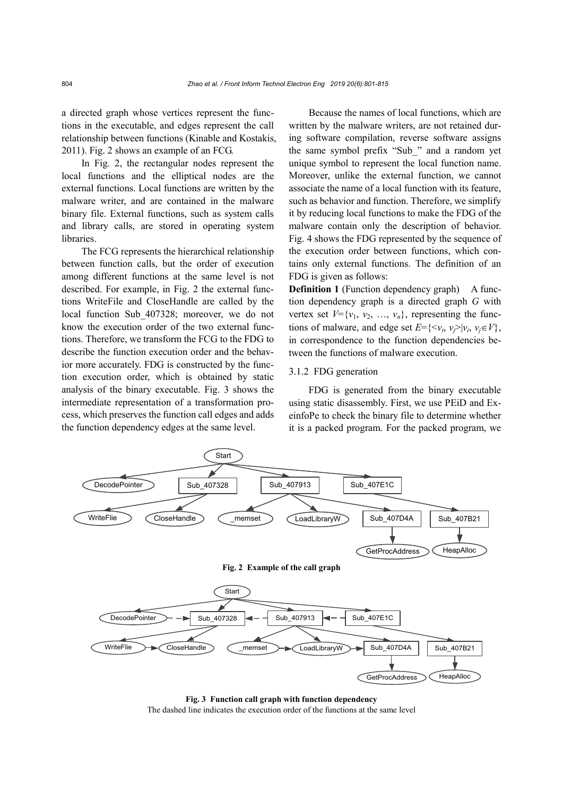a directed graph whose vertices represent the functions in the executable, and edges represent the call relationship between functions (Kinable and Kostakis, 2011). Fig. 2 shows an example of an FCG.

In Fig. 2, the rectangular nodes represent the local functions and the elliptical nodes are the external functions. Local functions are written by the malware writer, and are contained in the malware binary file. External functions, such as system calls and library calls, are stored in operating system libraries.

The FCG represents the hierarchical relationship between function calls, but the order of execution among different functions at the same level is not described. For example, in Fig. 2 the external functions WriteFile and CloseHandle are called by the local function Sub\_407328; moreover, we do not know the execution order of the two external functions. Therefore, we transform the FCG to the FDG to describe the function execution order and the behavior more accurately. FDG is constructed by the function execution order, which is obtained by static analysis of the binary executable. Fig. 3 shows the intermediate representation of a transformation process, which preserves the function call edges and adds the function dependency edges at the same level.

Because the names of local functions, which are written by the malware writers, are not retained during software compilation, reverse software assigns the same symbol prefix "Sub\_" and a random yet unique symbol to represent the local function name. Moreover, unlike the external function, we cannot associate the name of a local function with its feature, such as behavior and function. Therefore, we simplify it by reducing local functions to make the FDG of the malware contain only the description of behavior. Fig. 4 shows the FDG represented by the sequence of the execution order between functions, which contains only external functions. The definition of an FDG is given as follows:

**Definition 1** (Function dependency graph) A function dependency graph is a directed graph *G* with vertex set  $V = \{v_1, v_2, ..., v_n\}$ , representing the functions of malware, and edge set  $E = \{ \langle v_i, v_i \rangle | v_i, v_i \in V \}$ , in correspondence to the function dependencies between the functions of malware execution.

#### 3.1.2 FDG generation

FDG is generated from the binary executable using static disassembly. First, we use PEiD and ExeinfoPe to check the binary file to determine whether it is a packed program. For the packed program, we



**Fig. 3 Function call graph with function dependency** The dashed line indicates the execution order of the functions at the same level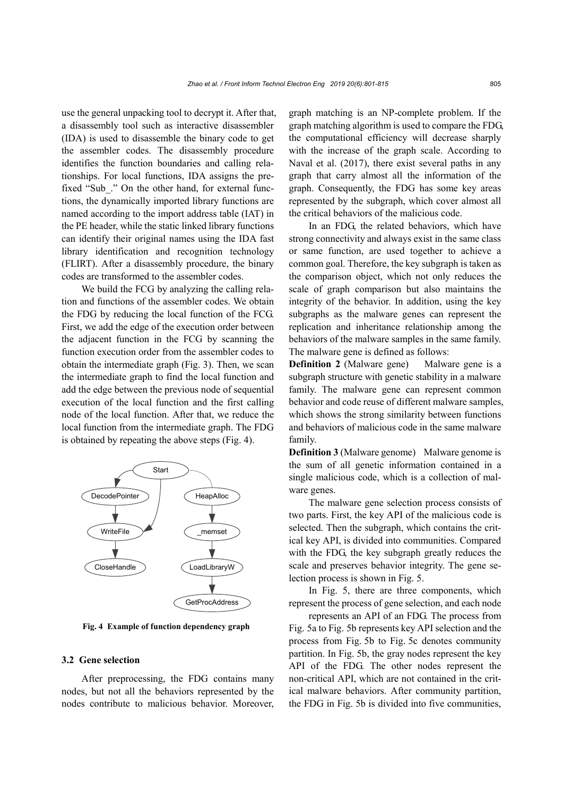use the general unpacking tool to decrypt it. After that, a disassembly tool such as interactive disassembler (IDA) is used to disassemble the binary code to get the assembler codes. The disassembly procedure identifies the function boundaries and calling relationships. For local functions, IDA assigns the prefixed "Sub". On the other hand, for external functions, the dynamically imported library functions are named according to the import address table (IAT) in the PE header, while the static linked library functions can identify their original names using the IDA fast library identification and recognition technology (FLIRT). After a disassembly procedure, the binary codes are transformed to the assembler codes.

We build the FCG by analyzing the calling relation and functions of the assembler codes. We obtain the FDG by reducing the local function of the FCG. First, we add the edge of the execution order between the adjacent function in the FCG by scanning the function execution order from the assembler codes to obtain the intermediate graph (Fig. 3). Then, we scan the intermediate graph to find the local function and add the edge between the previous node of sequential execution of the local function and the first calling node of the local function. After that, we reduce the local function from the intermediate graph. The FDG is obtained by repeating the above steps (Fig. 4).



**Fig. 4 Example of function dependency graph**

### **3.2 Gene selection**

After preprocessing, the FDG contains many nodes, but not all the behaviors represented by the nodes contribute to malicious behavior. Moreover, graph matching is an NP-complete problem. If the graph matching algorithm is used to compare the FDG, the computational efficiency will decrease sharply with the increase of the graph scale. According to Naval et al. (2017), there exist several paths in any graph that carry almost all the information of the graph. Consequently, the FDG has some key areas represented by the subgraph, which cover almost all the critical behaviors of the malicious code.

In an FDG, the related behaviors, which have strong connectivity and always exist in the same class or same function, are used together to achieve a common goal. Therefore, the key subgraph is taken as the comparison object, which not only reduces the scale of graph comparison but also maintains the integrity of the behavior. In addition, using the key subgraphs as the malware genes can represent the replication and inheritance relationship among the behaviors of the malware samples in the same family. The malware gene is defined as follows:

**Definition 2** (Malware gene) Malware gene is a subgraph structure with genetic stability in a malware family. The malware gene can represent common behavior and code reuse of different malware samples, which shows the strong similarity between functions and behaviors of malicious code in the same malware family.

**Definition 3** (Malware genome) Malware genome is the sum of all genetic information contained in a single malicious code, which is a collection of malware genes.

The malware gene selection process consists of two parts. First, the key API of the malicious code is selected. Then the subgraph, which contains the critical key API, is divided into communities. Compared with the FDG, the key subgraph greatly reduces the scale and preserves behavior integrity. The gene selection process is shown in Fig. 5.

In Fig. 5, there are three components, which represent the process of gene selection, and each node

represents an API of an FDG. The process from Fig. 5a to Fig. 5b represents key API selection and the process from Fig. 5b to Fig. 5c denotes community partition. In Fig. 5b, the gray nodes represent the key API of the FDG. The other nodes represent the non-critical API, which are not contained in the critical malware behaviors. After community partition, the FDG in Fig. 5b is divided into five communities,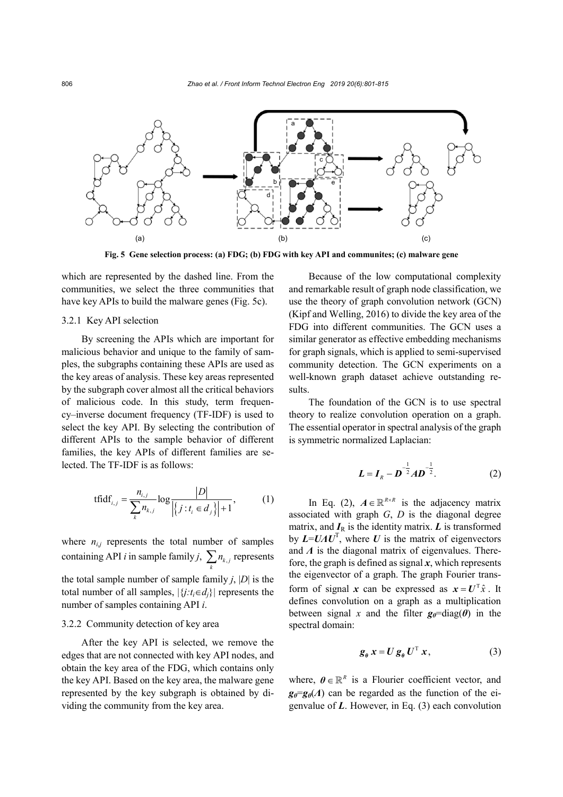

**Fig. 5 Gene selection process: (a) FDG; (b) FDG with key API and communites; (c) malware gene** 

which are represented by the dashed line. From the communities, we select the three communities that have key APIs to build the malware genes (Fig. 5c).

## 3.2.1 Key API selection

By screening the APIs which are important for malicious behavior and unique to the family of samples, the subgraphs containing these APIs are used as the key areas of analysis. These key areas represented by the subgraph cover almost all the critical behaviors of malicious code. In this study, term frequency–inverse document frequency (TF-IDF) is used to select the key API. By selecting the contribution of different APIs to the sample behavior of different families, the key APIs of different families are selected. The TF-IDF is as follows:

tfidf<sub>i,j</sub> = 
$$
\frac{n_{i,j}}{\sum_{k} n_{k,j}} \log \frac{|D|}{|\{j : t_i \in d_j\}| + 1},
$$
 (1)

where  $n_{i,j}$  represents the total number of samples containing API *i* in sample family *j*,  $\sum_{k} n_{k,j}$  represents the total sample number of sample family *j*, |*D*| is the total number of all samples,  $|\{j:t_i \in d_i\}|$  represents the number of samples containing API *i*.

#### 3.2.2 Community detection of key area

After the key API is selected, we remove the edges that are not connected with key API nodes, and obtain the key area of the FDG, which contains only the key API. Based on the key area, the malware gene represented by the key subgraph is obtained by dividing the community from the key area.

Because of the low computational complexity and remarkable result of graph node classification, we use the theory of graph convolution network (GCN) (Kipf and Welling, 2016) to divide the key area of the FDG into different communities. The GCN uses a similar generator as effective embedding mechanisms for graph signals, which is applied to semi-supervised community detection. The GCN experiments on a well-known graph dataset achieve outstanding results.

The foundation of the GCN is to use spectral theory to realize convolution operation on a graph. The essential operator in spectral analysis of the graph is symmetric normalized Laplacian:

$$
L = I_R - D^{-\frac{1}{2}}AD^{-\frac{1}{2}}.
$$
 (2)

In Eq. (2),  $A \in \mathbb{R}^{R \times R}$  is the adjacency matrix associated with graph *G*, *D* is the diagonal degree matrix, and  $I_R$  is the identity matrix.  $L$  is transformed by  $L = U A U^T$ , where *U* is the matrix of eigenvectors and *Λ* is the diagonal matrix of eigenvalues. Therefore, the graph is defined as signal  $x$ , which represents the eigenvector of a graph. The graph Fourier transform of signal *x* can be expressed as  $x = U^T \hat{x}$ . It defines convolution on a graph as a multiplication between signal *x* and the filter  $g_{\theta}$ =diag( $\theta$ ) in the spectral domain:

$$
\mathbf{g}_{\theta} \mathbf{x} = U \, \mathbf{g}_{\theta} \, U^{\mathrm{T}} \, \mathbf{x}, \tag{3}
$$

where,  $\theta \in \mathbb{R}^R$  is a Flourier coefficient vector, and  $g_{\theta} = g_{\theta}(A)$  can be regarded as the function of the eigenvalue of *L*. However, in Eq. (3) each convolution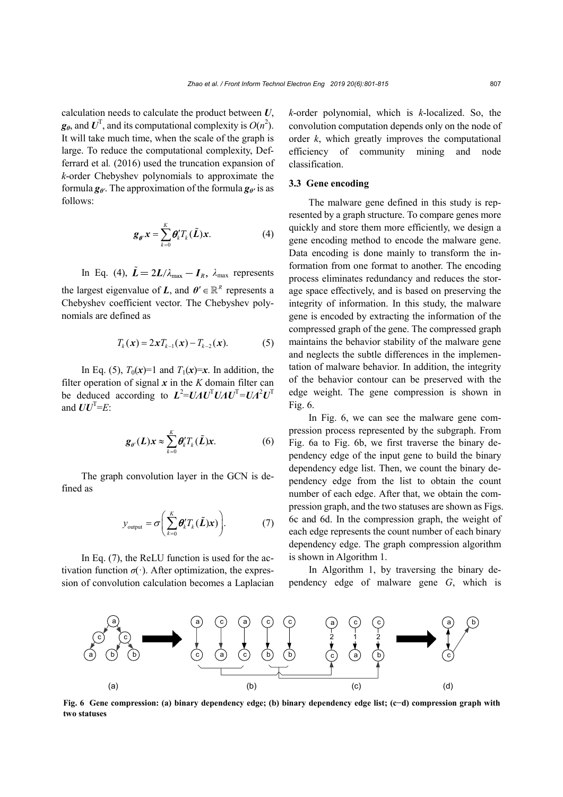calculation needs to calculate the product between *U*,  $g_{\theta}$ , and  $U^T$ , and its computational complexity is  $O(n^2)$ . It will take much time, when the scale of the graph is large. To reduce the computational complexity, Defferrard et al*.* (2016) used the truncation expansion of *k*-order Chebyshev polynomials to approximate the formula  $g_{\theta'}$ . The approximation of the formula  $g_{\theta'}$  is as follows:

$$
\mathbf{g}_{\boldsymbol{\theta}} \mathbf{x} = \sum_{k=0}^{K} \boldsymbol{\theta}_{k}^{\prime} T_{k}(\tilde{\boldsymbol{L}}) \mathbf{x}.
$$
 (4)

In Eq. (4),  $\tilde{L} = 2L/\lambda_{\text{max}} - I_R$ ,  $\lambda_{\text{max}}$  represents the largest eigenvalue of *L*, and  $\boldsymbol{\theta}' \in \mathbb{R}^R$  represents a Chebyshev coefficient vector. The Chebyshev polynomials are defined as

$$
T_k(\mathbf{x}) = 2\mathbf{x}T_{k-1}(\mathbf{x}) - T_{k-2}(\mathbf{x}).
$$
 (5)

In Eq. (5),  $T_0(x)=1$  and  $T_1(x)=x$ . In addition, the filter operation of signal  $x$  in the  $K$  domain filter can be deduced according to  $L^2 = UAU^T UAU^T = UA^2U^T$ and  $UU^{\mathrm{T}}=E$ :

$$
\mathbf{g}_{\theta'}(L)\mathbf{x} \approx \sum_{k=0}^{K} \boldsymbol{\theta}'_k T_k(\tilde{L})\mathbf{x}.
$$
 (6)

The graph convolution layer in the GCN is defined as

$$
y_{\text{output}} = \sigma \left( \sum_{k=0}^{K} \boldsymbol{\theta}_{k}^{\prime} T_{k} (\tilde{\boldsymbol{L}}) \mathbf{x} ) \right). \tag{7}
$$

In Eq. (7), the ReLU function is used for the activation function  $\sigma(\cdot)$ . After optimization, the expression of convolution calculation becomes a Laplacian *k*-order polynomial, which is *k*-localized. So, the convolution computation depends only on the node of order *k*, which greatly improves the computational efficiency of community mining and node classification.

## **3.3 Gene encoding**

The malware gene defined in this study is represented by a graph structure. To compare genes more quickly and store them more efficiently, we design a gene encoding method to encode the malware gene. Data encoding is done mainly to transform the information from one format to another. The encoding process eliminates redundancy and reduces the storage space effectively, and is based on preserving the integrity of information. In this study, the malware gene is encoded by extracting the information of the compressed graph of the gene. The compressed graph maintains the behavior stability of the malware gene and neglects the subtle differences in the implementation of malware behavior. In addition, the integrity of the behavior contour can be preserved with the edge weight. The gene compression is shown in Fig. 6.

In Fig. 6, we can see the malware gene compression process represented by the subgraph. From Fig. 6a to Fig. 6b, we first traverse the binary dependency edge of the input gene to build the binary dependency edge list. Then, we count the binary dependency edge from the list to obtain the count number of each edge. After that, we obtain the compression graph, and the two statuses are shown as Figs. 6c and 6d. In the compression graph, the weight of each edge represents the count number of each binary dependency edge. The graph compression algorithm is shown in Algorithm 1.

In Algorithm 1, by traversing the binary dependency edge of malware gene *G*, which is



**Fig. 6 Gene compression: (a) binary dependency edge; (b) binary dependency edge list; (c−d) compression graph with two statuses**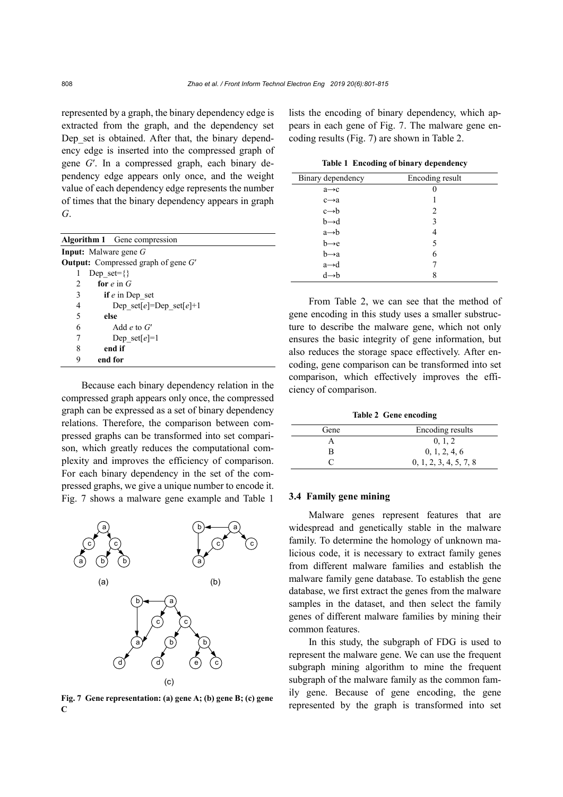represented by a graph, the binary dependency edge is extracted from the graph, and the dependency set Dep set is obtained. After that, the binary dependency edge is inserted into the compressed graph of gene *G*′. In a compressed graph, each binary dependency edge appears only once, and the weight value of each dependency edge represents the number of times that the binary dependency appears in graph *G*.

|   | <b>Algorithm 1</b> Gene compression          |
|---|----------------------------------------------|
|   | <b>Input:</b> Malware gene $G$               |
|   | <b>Output:</b> Compressed graph of gene $G'$ |
|   | Dep set= $\{\}$                              |
| 2 | for $e$ in $G$                               |
| 3 | if $e$ in Dep set                            |
| 4 | Dep set[e]=Dep set[e]+1                      |
| 5 | else                                         |
| 6 | Add $e$ to $G'$                              |
| 7 | Dep set[ $e$ ]=1                             |
| 8 | end if                                       |
| 9 | end for                                      |

Because each binary dependency relation in the compressed graph appears only once, the compressed graph can be expressed as a set of binary dependency relations. Therefore, the comparison between compressed graphs can be transformed into set comparison, which greatly reduces the computational complexity and improves the efficiency of comparison. For each binary dependency in the set of the compressed graphs, we give a unique number to encode it. Fig. 7 shows a malware gene example and Table 1



**Fig. 7 Gene representation: (a) gene A; (b) gene B; (c) gene C**

lists the encoding of binary dependency, which appears in each gene of Fig. 7. The malware gene encoding results (Fig. 7) are shown in Table 2.

**Table 1 Encoding of binary dependency**

| Binary dependency | Encoding result |
|-------------------|-----------------|
| $a \rightarrow c$ |                 |
| $c \rightarrow a$ |                 |
| $c \rightarrow b$ | 2               |
| $b \rightarrow d$ | 3               |
| $a \rightarrow b$ |                 |
| $b\rightarrow e$  | 5               |
| $b \rightarrow a$ | 6               |
| $a \rightarrow d$ |                 |
| d→b               |                 |

From Table 2, we can see that the method of gene encoding in this study uses a smaller substructure to describe the malware gene, which not only ensures the basic integrity of gene information, but also reduces the storage space effectively. After encoding, gene comparison can be transformed into set comparison, which effectively improves the efficiency of comparison.

**Table 2 Gene encoding**

| Gene | Encoding results       |
|------|------------------------|
|      | 0, 1, 2                |
| R    | 0, 1, 2, 4, 6          |
|      | 0, 1, 2, 3, 4, 5, 7, 8 |
|      |                        |

#### **3.4 Family gene mining**

Malware genes represent features that are widespread and genetically stable in the malware family. To determine the homology of unknown malicious code, it is necessary to extract family genes from different malware families and establish the malware family gene database. To establish the gene database, we first extract the genes from the malware samples in the dataset, and then select the family genes of different malware families by mining their common features.

In this study, the subgraph of FDG is used to represent the malware gene. We can use the frequent subgraph mining algorithm to mine the frequent subgraph of the malware family as the common family gene. Because of gene encoding, the gene represented by the graph is transformed into set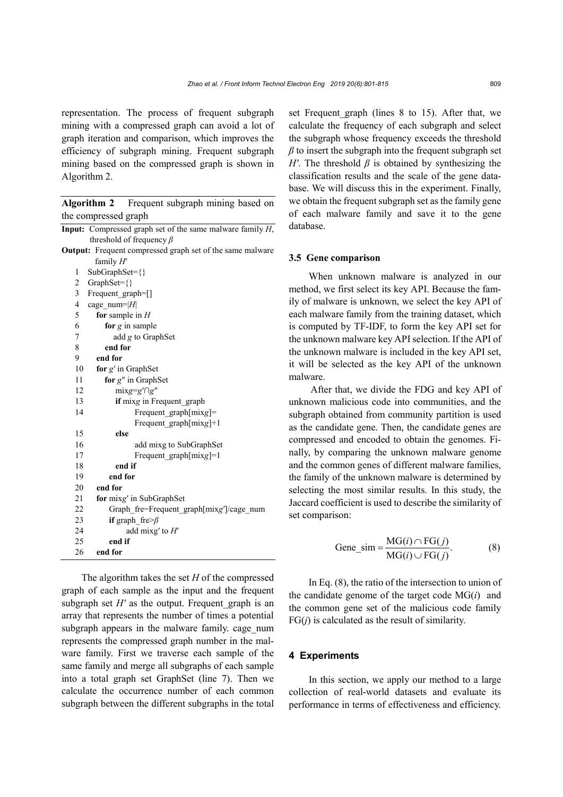representation. The process of frequent subgraph mining with a compressed graph can avoid a lot of graph iteration and comparison, which improves the efficiency of subgraph mining. Frequent subgraph mining based on the compressed graph is shown in Algorithm 2.

| <b>Algorithm 2</b>   | Frequent subgraph mining based on |  |  |
|----------------------|-----------------------------------|--|--|
| the compressed graph |                                   |  |  |

| <b>Input:</b> Compressed graph set of the same malware family $H$ , |
|---------------------------------------------------------------------|
| threshold of frequency $\beta$                                      |

**Output:** Frequent compressed graph set of the same malware family *H*′

| $\mathbf{1}$   | $SubGraphSet={}$                         |
|----------------|------------------------------------------|
| 2              | $GraphSet = \{\}$                        |
| 3              | Frequent graph=[]                        |
| $\overline{4}$ | cage $num= H $                           |
| 5              | for sample in $H$                        |
| 6              | for $g$ in sample                        |
| 7              | add g to GraphSet                        |
| 8              | end for                                  |
| 9              | end for                                  |
| 10             | for g' in GraphSet                       |
| 11             | for g" in GraphSet                       |
| 12             | $mixg=g'\bigcap g''$                     |
| 13             | if mixg in Frequent_graph                |
| 14             | Frequent graph[ $mixg$ ]=                |
|                | Frequent graph[ $mixg$ ]+1               |
| 15             | else                                     |
| 16             | add mixg to SubGraphSet                  |
| 17             | Frequent_graph[mixg]=1                   |
| 18             | end if                                   |
| 19             | end for                                  |
| 20             | end for                                  |
| 21             | for mixg' in SubGraphSet                 |
| 22             | Graph_fre=Frequent_graph[mixg']/cage_num |
| 23             | <b>if</b> graph fre $\geq \beta$         |
| 24             | add mixg' to $H'$                        |
| 25             | end if                                   |
| 26             | end for                                  |
|                |                                          |

The algorithm takes the set *H* of the compressed graph of each sample as the input and the frequent subgraph set  $H'$  as the output. Frequent graph is an array that represents the number of times a potential subgraph appears in the malware family. cage num represents the compressed graph number in the malware family. First we traverse each sample of the same family and merge all subgraphs of each sample into a total graph set GraphSet (line 7). Then we calculate the occurrence number of each common subgraph between the different subgraphs in the total set Frequent graph (lines 8 to 15). After that, we calculate the frequency of each subgraph and select the subgraph whose frequency exceeds the threshold  $\beta$  to insert the subgraph into the frequent subgraph set *H'*. The threshold  $\beta$  is obtained by synthesizing the classification results and the scale of the gene database. We will discuss this in the experiment. Finally, we obtain the frequent subgraph set as the family gene of each malware family and save it to the gene database.

# **3.5 Gene comparison**

When unknown malware is analyzed in our method, we first select its key API. Because the family of malware is unknown, we select the key API of each malware family from the training dataset, which is computed by TF-IDF, to form the key API set for the unknown malware key API selection. If the API of the unknown malware is included in the key API set, it will be selected as the key API of the unknown malware.

After that, we divide the FDG and key API of unknown malicious code into communities, and the subgraph obtained from community partition is used as the candidate gene. Then, the candidate genes are compressed and encoded to obtain the genomes. Finally, by comparing the unknown malware genome and the common genes of different malware families, the family of the unknown malware is determined by selecting the most similar results. In this study, the Jaccard coefficient is used to describe the similarity of set comparison:

$$
Gene\_sim = \frac{MG(i) \cap FG(j)}{MG(i) \cup FG(j)}.
$$
 (8)

In Eq. (8), the ratio of the intersection to union of the candidate genome of the target code MG(*i*) and the common gene set of the malicious code family FG(*j*) is calculated as the result of similarity.

### **4 Experiments**

In this section, we apply our method to a large collection of real-world datasets and evaluate its performance in terms of effectiveness and efficiency.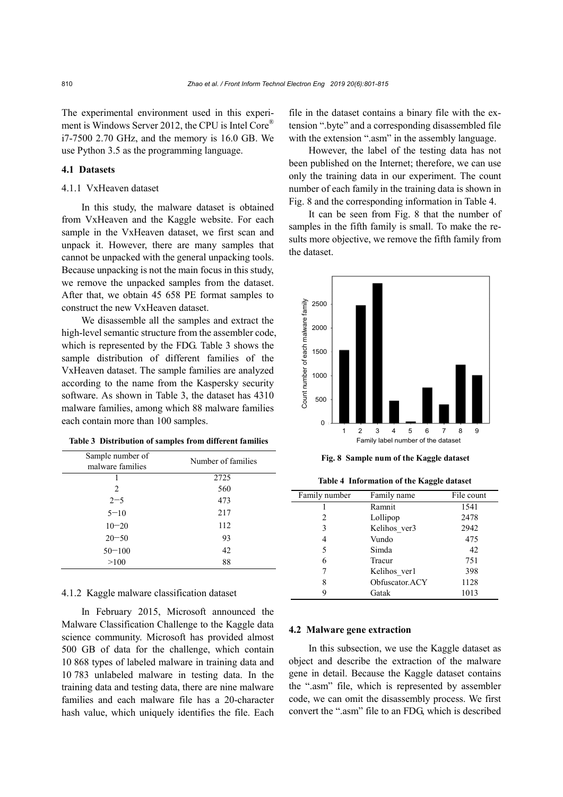The experimental environment used in this experiment is Windows Server 2012, the CPU is Intel Core® i7-7500 2.70 GHz, and the memory is 16.0 GB. We use Python 3.5 as the programming language.

## **4.1 Datasets**

## 4.1.1 VxHeaven dataset

In this study, the malware dataset is obtained from VxHeaven and the Kaggle website. For each sample in the VxHeaven dataset, we first scan and unpack it. However, there are many samples that cannot be unpacked with the general unpacking tools. Because unpacking is not the main focus in this study, we remove the unpacked samples from the dataset. After that, we obtain 45 658 PE format samples to construct the new VxHeaven dataset.

We disassemble all the samples and extract the high-level semantic structure from the assembler code, which is represented by the FDG. Table 3 shows the sample distribution of different families of the VxHeaven dataset. The sample families are analyzed according to the name from the Kaspersky security software. As shown in Table 3, the dataset has 4310 malware families, among which 88 malware families each contain more than 100 samples.

| Sample number of<br>malware families | Number of families |
|--------------------------------------|--------------------|
|                                      | 2725               |
| 2                                    | 560                |
| $2 - 5$                              | 473                |
| $5 - 10$                             | 217                |
| $10 - 20$                            | 112                |
| $20 - 50$                            | 93                 |
| $50 - 100$                           | 42                 |
| >100                                 | 88                 |

# 4.1.2 Kaggle malware classification dataset

In February 2015, Microsoft announced the Malware Classification Challenge to the Kaggle data science community. Microsoft has provided almost 500 GB of data for the challenge, which contain 10 868 types of labeled malware in training data and 10 783 unlabeled malware in testing data. In the training data and testing data, there are nine malware families and each malware file has a 20-character hash value, which uniquely identifies the file. Each

file in the dataset contains a binary file with the extension ".byte" and a corresponding disassembled file with the extension ".asm" in the assembly language.

However, the label of the testing data has not been published on the Internet; therefore, we can use only the training data in our experiment. The count number of each family in the training data is shown in Fig. 8 and the corresponding information in Table 4.

It can be seen from Fig. 8 that the number of samples in the fifth family is small. To make the results more objective, we remove the fifth family from the dataset.



**Fig. 8 Sample num of the Kaggle dataset**

**Table 4 Information of the Kaggle dataset**

| Family number | Family name    | File count |
|---------------|----------------|------------|
|               | Ramnit         | 1541       |
| 2             | Lollipop       | 2478       |
| 3             | Kelihos ver3   | 2942       |
| 4             | Vundo          | 475        |
| 5             | Simda          | 42         |
| 6             | Tracur         | 751        |
|               | Kelihos ver1   | 398        |
| 8             | Obfuscator.ACY | 1128       |
|               | Gatak          | 1013       |

# **4.2 Malware gene extraction**

In this subsection, we use the Kaggle dataset as object and describe the extraction of the malware gene in detail. Because the Kaggle dataset contains the ".asm" file, which is represented by assembler code, we can omit the disassembly process. We first convert the ".asm" file to an FDG, which is described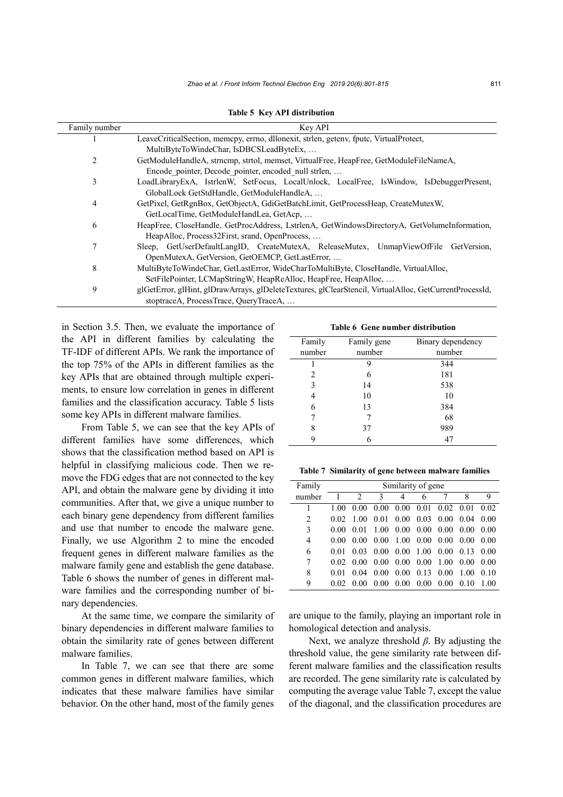| Family number                                  | Key API                                                                                                |  |  |  |  |  |
|------------------------------------------------|--------------------------------------------------------------------------------------------------------|--|--|--|--|--|
|                                                | LeaveCriticalSection, memcpy, errno, dllonexit, strlen, getenv, fputc, VirtualProtect,                 |  |  |  |  |  |
|                                                | MultiByteToWindeChar, IsDBCSLeadByteEx,                                                                |  |  |  |  |  |
| 2                                              | GetModuleHandleA, strncmp, strtol, memset, VirtualFree, HeapFree, GetModuleFileNameA,                  |  |  |  |  |  |
|                                                | Encode pointer, Decode pointer, encoded null strlen,                                                   |  |  |  |  |  |
| 3                                              | LoadLibraryExA, IstrlenW, SetFocus, LocalUnlock, LocalFree, IsWindow, IsDebuggerPresent,               |  |  |  |  |  |
|                                                | GlobalLock GetStdHandle, GetModuleHandleA,                                                             |  |  |  |  |  |
| 4                                              | GetPixel, GetRgnBox, GetObjectA, GdiGetBatchLimit, GetProcessHeap, CreateMutexW,                       |  |  |  |  |  |
|                                                | GetLocalTime, GetModuleHandLea, GetAcp,                                                                |  |  |  |  |  |
| 6                                              | HeapFree, CloseHandle, GetProcAddress, LstrlenA, GetWindowsDirectoryA, GetVolumeInformation,           |  |  |  |  |  |
| HeapAlloc, Process32First, srand, OpenProcess, |                                                                                                        |  |  |  |  |  |
| 7                                              | Sleep, GetUserDefaultLangID, CreateMutexA, ReleaseMutex, UnmapViewOfFile<br>GetVersion.                |  |  |  |  |  |
|                                                | OpenMutexA, GetVersion, GetOEMCP, GetLastError,                                                        |  |  |  |  |  |
| 8                                              | MultiByteToWindeChar, GetLastError, WideCharToMultiByte, CloseHandle, VirtualAlloc,                    |  |  |  |  |  |
|                                                | SetFilePointer, LCMapStringW, HeapReAlloc, HeapFree, HeapAlloc,                                        |  |  |  |  |  |
| 9                                              | glGetError, glHint, glDrawArrays, glDeleteTextures, glClearStencil, VirtualAlloc, GetCurrentProcessId, |  |  |  |  |  |
|                                                | stoptraceA, ProcessTrace, QueryTraceA,                                                                 |  |  |  |  |  |

**Table 5 Key API distribution**

in Section 3.5. Then, we evaluate the importance of the API in different families by calculating the TF-IDF of different APIs. We rank the importance of the top 75% of the APIs in different families as the key APIs that are obtained through multiple experiments, to ensure low correlation in genes in different families and the classification accuracy. Table 5 lists some key APIs in different malware families.

From Table 5, we can see that the key APIs of different families have some differences, which shows that the classification method based on API is helpful in classifying malicious code. Then we remove the FDG edges that are not connected to the key API, and obtain the malware gene by dividing it into communities. After that, we give a unique number to each binary gene dependency from different families and use that number to encode the malware gene. Finally, we use Algorithm 2 to mine the encoded frequent genes in different malware families as the malware family gene and establish the gene database. Table 6 shows the number of genes in different malware families and the corresponding number of binary dependencies.

At the same time, we compare the similarity of binary dependencies in different malware families to obtain the similarity rate of genes between different malware families.

In Table 7, we can see that there are some common genes in different malware families, which indicates that these malware families have similar behavior. On the other hand, most of the family genes

Family number Family gene number Binary dependency number 1 09 344 2 06 181 3 14 538 4 10 10 6 13 384 7 07 068 8 37 989 9 6 47

**Table 6 Gene number distribution**

**Table 7 Similarity of gene between malware families**

| Family | Similarity of gene |                |      |      |          |                   |      |      |
|--------|--------------------|----------------|------|------|----------|-------------------|------|------|
| number |                    | $\mathfrak{D}$ | 3    | 4    | 6        |                   | 8    | 9    |
|        | 1.00               | 0.00           | 0.00 | 0.00 | 0.01     | $0.02 \quad 0.01$ |      | 0.02 |
| 2      | 0.02               | 1.00           | 0.01 | 0.00 | 0.03     | 0.00              | 0.04 | 0.00 |
| 3      | 0.00               | 0.01           | 1.00 | 0.00 | 0.00     | 0.00              | 0.00 | 0.00 |
| 4      | 0.00               | 0.00           | 0.00 | 1.00 | $0.00 -$ | 0.00              | 0.00 | 0.00 |
| 6      | 0.01               | 0.03           | 0.00 | 0.00 | 1.00     | 0.00              | 0.13 | 0.00 |
| 7      | 0.02               | 0.00           | 0.00 | 0.00 | 0.00     | 1.00              | 0.00 | 0.00 |
| 8      | 0.01               | 0.04           | 0.00 | 0.00 | 0.13     | 0.00              | 1.00 | 010  |
| 9      | 0.02               | 0.00           | 0.00 | 0.00 | 0.00     | 0.00              | 010  | 1.00 |

are unique to the family, playing an important role in homological detection and analysis.

Next, we analyze threshold *β*. By adjusting the threshold value, the gene similarity rate between different malware families and the classification results are recorded. The gene similarity rate is calculated by computing the average value Table 7, except the value of the diagonal, and the classification procedures are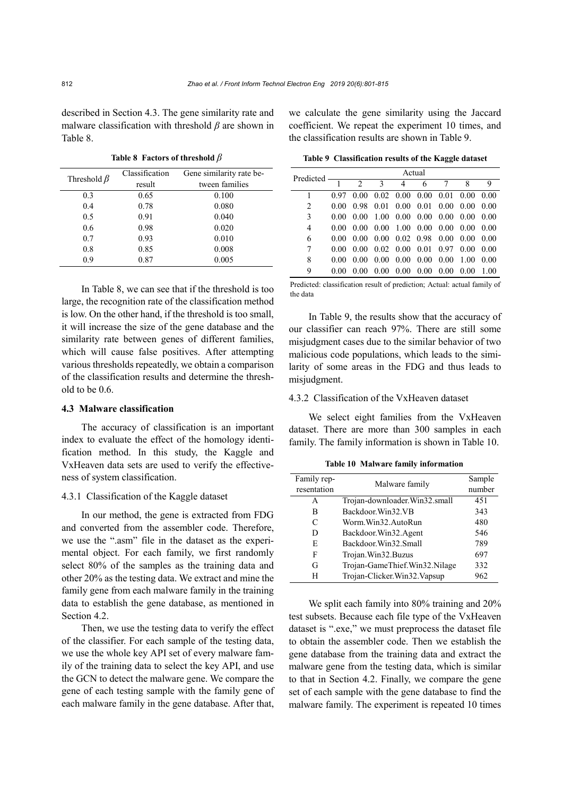described in Section 4.3. The gene similarity rate and malware classification with threshold *β* are shown in Table 8.

| Threshold $\beta$ | Classification<br>result | Gene similarity rate be-<br>tween families |
|-------------------|--------------------------|--------------------------------------------|
| 0.3               | 0.65                     | 0.100                                      |
| 0.4               | 0.78                     | 0.080                                      |
| 0.5               | 0.91                     | 0.040                                      |
| 0.6               | 0.98                     | 0.020                                      |
| 0.7               | 0.93                     | 0.010                                      |
| 0.8               | 0.85                     | 0.008                                      |
| 0.9               | 0.87                     | 0.005                                      |

**Table 8 Factors of threshold** *β*

In Table 8, we can see that if the threshold is too large, the recognition rate of the classification method is low. On the other hand, if the threshold is too small, it will increase the size of the gene database and the similarity rate between genes of different families, which will cause false positives. After attempting various thresholds repeatedly, we obtain a comparison of the classification results and determine the threshold to be 0.6.

## **4.3 Malware classification**

The accuracy of classification is an important index to evaluate the effect of the homology identification method. In this study, the Kaggle and VxHeaven data sets are used to verify the effectiveness of system classification.

#### 4.3.1 Classification of the Kaggle dataset

In our method, the gene is extracted from FDG and converted from the assembler code. Therefore, we use the ".asm" file in the dataset as the experimental object. For each family, we first randomly select 80% of the samples as the training data and other 20% as the testing data. We extract and mine the family gene from each malware family in the training data to establish the gene database, as mentioned in Section 4.2.

Then, we use the testing data to verify the effect of the classifier. For each sample of the testing data, we use the whole key API set of every malware family of the training data to select the key API, and use the GCN to detect the malware gene. We compare the gene of each testing sample with the family gene of each malware family in the gene database. After that,

we calculate the gene similarity using the Jaccard coefficient. We repeat the experiment 10 times, and the classification results are shown in Table 9.

**Table 9 Classification results of the Kaggle dataset**

| Predicted | Actual |                |              |                              |                                                    |                   |                   |      |
|-----------|--------|----------------|--------------|------------------------------|----------------------------------------------------|-------------------|-------------------|------|
|           |        | $\mathfrak{D}$ | $\mathbf{3}$ | 4                            | 6                                                  |                   | 8                 | 9    |
|           | 0.97   | 0.00           |              |                              | $0.02 \quad 0.00 \quad 0.00 \quad 0.01$            |                   | 0.00              | 0.00 |
| 2         | 0.00   | 0.98           | 0.01         |                              | $0.00 \quad 0.01$                                  |                   | $0.00 \quad 0.00$ | 0.00 |
| 3         | 0.00   | 0.00           | 1.00         | 0.00                         | 0.00                                               | $0.00 \quad 0.00$ |                   | 0.00 |
| 4         | 0.00   | 0.00           |              |                              | $0.00 \quad 1.00 \quad 0.00 \quad 0.00 \quad 0.00$ |                   |                   | 0.00 |
| 6         | 0.00   | 0.00           |              |                              | $0.00 \quad 0.02 \quad 0.98 \quad 0.00 \quad 0.00$ |                   |                   | 0.00 |
| 7         | 0.00   | 0.00           |              | $0.02 \quad 0.00 \quad 0.01$ |                                                    | 0.97              | 0.00              | 0.00 |
| 8         | 0.00   | 0.00           | 0.00         | 0.00                         | $0.00^{-}$                                         | 0.00              | 1.00              | 0.00 |
| 9         | 0.00   | 0.00           | 0.00         | 0.00                         | 0.00                                               | 0.00              | -0.00             | 1.00 |

Predicted: classification result of prediction; Actual: actual family of the data

In Table 9, the results show that the accuracy of our classifier can reach 97%. There are still some misjudgment cases due to the similar behavior of two malicious code populations, which leads to the similarity of some areas in the FDG and thus leads to misjudgment.

### 4.3.2 Classification of the VxHeaven dataset

We select eight families from the VxHeaven dataset. There are more than 300 samples in each family. The family information is shown in Table 10.

| Family rep- | Malware family                 | Sample |
|-------------|--------------------------------|--------|
| resentation |                                | number |
| A           | Trojan-downloader. Win32.small | 451    |
| B           | Backdoor. Win32. VB            | 343    |
| C           | Worm. Win32. AutoRun           | 480    |
| D           | Backdoor.Win32.Agent           | 546    |
| E           | Backdoor. Win32. Small         | 789    |
| F           | Trojan. Win32. Buzus           | 697    |
| G           | Trojan-GameThief.Win32.Nilage  | 332    |
| H           | Trojan-Clicker. Win32. Vapsup  | 962    |

**Table 10 Malware family information**

We split each family into 80% training and 20% test subsets. Because each file type of the VxHeaven dataset is ".exe," we must preprocess the dataset file to obtain the assembler code. Then we establish the gene database from the training data and extract the malware gene from the testing data, which is similar to that in Section 4.2. Finally, we compare the gene set of each sample with the gene database to find the malware family. The experiment is repeated 10 times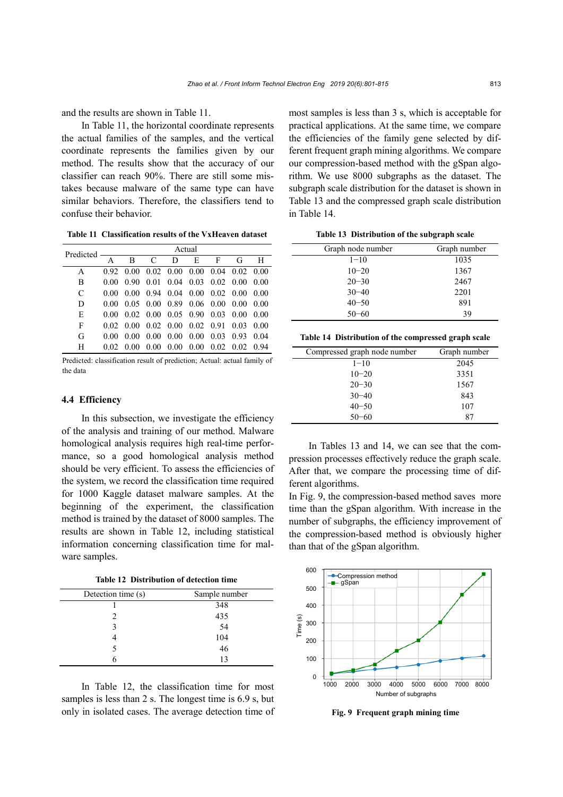and the results are shown in Table 11.

In Table 11, the horizontal coordinate represents the actual families of the samples, and the vertical coordinate represents the families given by our method. The results show that the accuracy of our classifier can reach 90%. There are still some mistakes because malware of the same type can have similar behaviors. Therefore, the classifiers tend to confuse their behavior.

**Table 11 Classification results of the VxHeaven dataset**

| Predicted | Actual |        |                   |      |                                                    |                   |      |      |
|-----------|--------|--------|-------------------|------|----------------------------------------------------|-------------------|------|------|
|           |        | в      | $\mathcal{C}$     | D    | E                                                  | F                 | G    | Н    |
| A         | 0.92   | 0.00   |                   |      | $0.02$ 0.00 0.00 0.04 0.02 0.00                    |                   |      |      |
| В         | 0.00   | 0.90   | 0.01              |      | $0.04$ $0.03$ $0.02$ $0.00$                        |                   |      | 0.00 |
| C         | 0.00   | 0.00   | 0.94              |      | $0.04 \quad 0.00$                                  | $0.02 \quad 0.00$ |      | 0.00 |
| D         | 0.00   |        | $0.05 \quad 0.00$ |      | $0.89$ 0.06 0.00                                   |                   | 0.00 | 0.00 |
| E         | 0.00   | 0.02   | 0.00              |      | $0.05 \quad 0.90 \quad 0.03$                       |                   | 0.00 | 0.00 |
| F         | 0.02   | - 0.00 |                   |      | $0.02 \quad 0.00 \quad 0.02 \quad 0.91$            |                   | 0.03 | 0.00 |
| G         | 0.00   | 0.00   | 0.00              | 0.00 | 0.00                                               | 0.03              | 0.93 | 0.04 |
| H         | 0.02   | 0.00   | $0.00 -$          |      | $0.00 \quad 0.00 \quad 0.02 \quad 0.02 \quad 0.94$ |                   |      |      |
|           |        |        |                   |      |                                                    |                   |      |      |

Predicted: classification result of prediction; Actual: actual family of the data

# **4.4 Efficiency**

In this subsection, we investigate the efficiency of the analysis and training of our method. Malware homological analysis requires high real-time performance, so a good homological analysis method should be very efficient. To assess the efficiencies of the system, we record the classification time required for 1000 Kaggle dataset malware samples. At the beginning of the experiment, the classification method is trained by the dataset of 8000 samples. The results are shown in Table 12, including statistical information concerning classification time for malware samples.

| Detection time (s) | Sample number |
|--------------------|---------------|
|                    | 348           |
|                    | 435           |
| 2                  | 54            |
|                    | 104           |
|                    | 46            |
|                    |               |

In Table 12, the classification time for most samples is less than 2 s. The longest time is 6.9 s, but only in isolated cases. The average detection time of most samples is less than 3 s, which is acceptable for practical applications. At the same time, we compare the efficiencies of the family gene selected by different frequent graph mining algorithms. We compare our compression-based method with the gSpan algorithm. We use 8000 subgraphs as the dataset. The subgraph scale distribution for the dataset is shown in Table 13 and the compressed graph scale distribution in Table 14.

**Table 13 Distribution of the subgraph scale**

| Graph node number | Graph number |
|-------------------|--------------|
| $1 - 10$          | 1035         |
| $10 - 20$         | 1367         |
| $20 - 30$         | 2467         |
| $30 - 40$         | 2201         |
| $40 - 50$         | 891          |
| $50 - 60$         | 39           |

**Table 14 Distribution of the compressed graph scale**

| Compressed graph node number | Graph number |
|------------------------------|--------------|
| $1 - 10$                     | 2045         |
| $10 - 20$                    | 3351         |
| $20 - 30$                    | 1567         |
| $30 - 40$                    | 843          |
| $40 - 50$                    | 107          |
| $50 - 60$                    | 87           |

In Tables 13 and 14, we can see that the compression processes effectively reduce the graph scale. After that, we compare the processing time of different algorithms.

In Fig. 9, the compression-based method saves more time than the gSpan algorithm. With increase in the number of subgraphs, the efficiency improvement of the compression-based method is obviously higher than that of the gSpan algorithm.



**Fig. 9 Frequent graph mining time**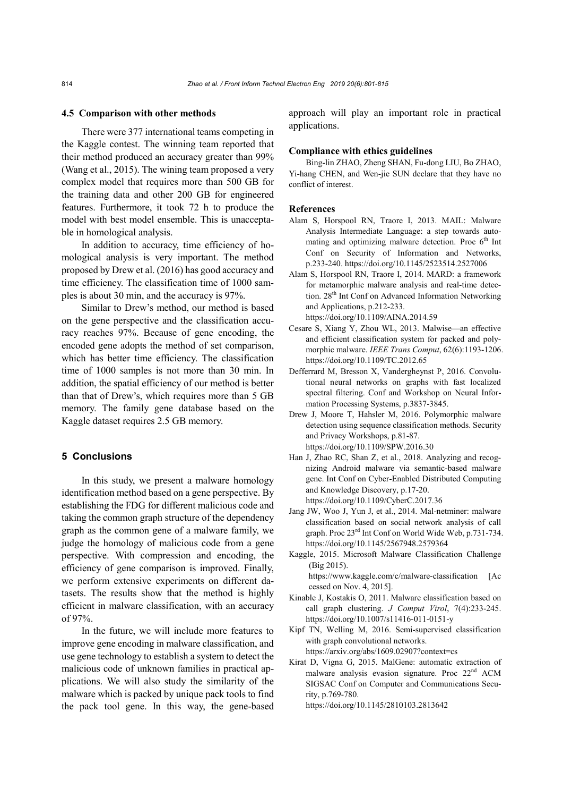#### **4.5 Comparison with other methods**

There were 377 international teams competing in the Kaggle contest. The winning team reported that their method produced an accuracy greater than 99% (Wang et al., 2015). The wining team proposed a very complex model that requires more than 500 GB for the training data and other 200 GB for engineered features. Furthermore, it took 72 h to produce the model with best model ensemble. This is unacceptable in homological analysis.

In addition to accuracy, time efficiency of homological analysis is very important. The method proposed by Drew et al. (2016) has good accuracy and time efficiency. The classification time of 1000 samples is about 30 min, and the accuracy is 97%.

Similar to Drew's method, our method is based on the gene perspective and the classification accuracy reaches 97%. Because of gene encoding, the encoded gene adopts the method of set comparison, which has better time efficiency. The classification time of 1000 samples is not more than 30 min. In addition, the spatial efficiency of our method is better than that of Drew's, which requires more than 5 GB memory. The family gene database based on the Kaggle dataset requires 2.5 GB memory.

## **5 Conclusions**

In this study, we present a malware homology identification method based on a gene perspective. By establishing the FDG for different malicious code and taking the common graph structure of the dependency graph as the common gene of a malware family, we judge the homology of malicious code from a gene perspective. With compression and encoding, the efficiency of gene comparison is improved. Finally, we perform extensive experiments on different datasets. The results show that the method is highly efficient in malware classification, with an accuracy of 97%.

In the future, we will include more features to improve gene encoding in malware classification, and use gene technology to establish a system to detect the malicious code of unknown families in practical applications. We will also study the similarity of the malware which is packed by unique pack tools to find the pack tool gene. In this way, the gene-based approach will play an important role in practical applications.

#### **Compliance with ethics guidelines**

Bing-lin ZHAO, Zheng SHAN, Fu-dong LIU, Bo ZHAO, Yi-hang CHEN, and Wen-jie SUN declare that they have no conflict of interest.

#### **References**

- Alam S, Horspool RN, Traore I, 2013. MAIL: Malware Analysis Intermediate Language: a step towards automating and optimizing malware detection. Proc  $6<sup>th</sup>$  Int Conf on Security of Information and Networks, p.233-240. https://doi.org/10.1145/2523514.2527006
- Alam S, Horspool RN, Traore I, 2014. MARD: a framework for metamorphic malware analysis and real-time detection. 28<sup>th</sup> Int Conf on Advanced Information Networking and Applications, p.212-233. https://doi.org/10.1109/AINA.2014.59
- Cesare S, Xiang Y, Zhou WL, 2013. Malwise—an effective and efficient classification system for packed and polymorphic malware. *IEEE Trans Comput*, 62(6):1193-1206. https://doi.org/10.1109/TC.2012.65
- Defferrard M, Bresson X, Vandergheynst P, 2016. Convolutional neural networks on graphs with fast localized spectral filtering. Conf and Workshop on Neural Information Processing Systems, p.3837-3845.
- Drew J, Moore T, Hahsler M, 2016. Polymorphic malware detection using sequence classification methods. Security and Privacy Workshops, p.81-87. https://doi.org/10.1109/SPW.2016.30
- Han J, Zhao RC, Shan Z, et al., 2018. Analyzing and recognizing Android malware via semantic-based malware gene. Int Conf on Cyber-Enabled Distributed Computing and Knowledge Discovery, p.17-20. https://doi.org/10.1109/CyberC.2017.36
- Jang JW, Woo J, Yun J, et al., 2014. Mal-netminer: malware classification based on social network analysis of call graph. Proc 23rd Int Conf on World Wide Web, p.731-734. https://doi.org/10.1145/2567948.2579364
- Kaggle, 2015. Microsoft Malware Classification Challenge (Big 2015).

https://www.kaggle.com/c/malware-classification [Ac cessed on Nov. 4, 2015].

- Kinable J, Kostakis O, 2011. Malware classification based on call graph clustering. *J Comput Virol*, 7(4):233-245. https://doi.org/10.1007/s11416-011-0151-y
- Kipf TN, Welling M, 2016. Semi-supervised classification with graph convolutional networks. https://arxiv.org/abs/1609.02907?context=cs
- Kirat D, Vigna G, 2015. MalGene: automatic extraction of malware analysis evasion signature. Proc 22nd ACM SIGSAC Conf on Computer and Communications Security, p.769-780. https://doi.org/10.1145/2810103.2813642